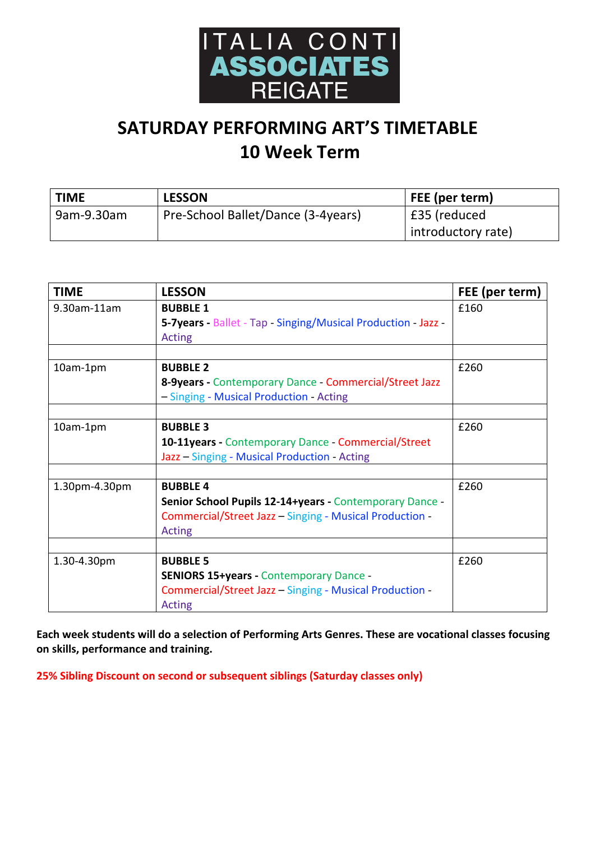

## **SATURDAY PERFORMING ART'S TIMETABLE 10 Week Term**

| <b>TIME</b> | <b>LESSON</b>                      | FEE (per term)     |  |
|-------------|------------------------------------|--------------------|--|
| 9am-9.30am  | Pre-School Ballet/Dance (3-4years) | £35 (reduced       |  |
|             |                                    | introductory rate) |  |

| £160<br>5-7years - Ballet - Tap - Singing/Musical Production - Jazz - |
|-----------------------------------------------------------------------|
|                                                                       |
|                                                                       |
|                                                                       |
|                                                                       |
| £260                                                                  |
| 8-9years - Contemporary Dance - Commercial/Street Jazz                |
|                                                                       |
| £260                                                                  |
| 10-11years - Contemporary Dance - Commercial/Street                   |
|                                                                       |
|                                                                       |
| £260                                                                  |
| Senior School Pupils 12-14+years - Contemporary Dance -               |
| Commercial/Street Jazz - Singing - Musical Production -               |
|                                                                       |
| £260                                                                  |
|                                                                       |
| Commercial/Street Jazz - Singing - Musical Production -               |
|                                                                       |
| <b>SENIORS 15+years - Contemporary Dance -</b>                        |

Each week students will do a selection of Performing Arts Genres. These are vocational classes focusing on skills, performance and training.

**25% Sibling Discount on second or subsequent siblings (Saturday classes only)**